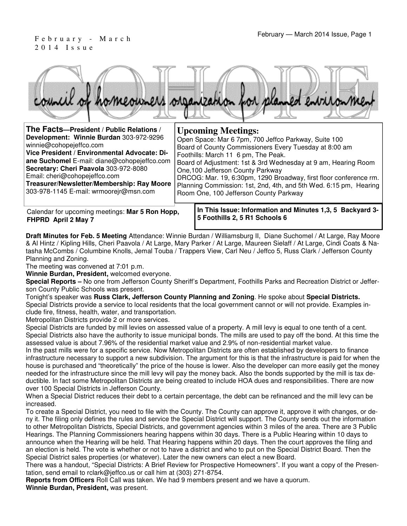# 2 0 1 4 I s s u e



| The Facts-President / Public Relations /                                                                                                                                                                                                                                                                                            | <b>Upcoming Meetings:</b>                                                                                                                                                                                                                                                                                                                                                                                                                        |
|-------------------------------------------------------------------------------------------------------------------------------------------------------------------------------------------------------------------------------------------------------------------------------------------------------------------------------------|--------------------------------------------------------------------------------------------------------------------------------------------------------------------------------------------------------------------------------------------------------------------------------------------------------------------------------------------------------------------------------------------------------------------------------------------------|
| Development: Winnie Burdan 303-972-9296<br>winnie@cohopejeffco.com<br>Vice President / Environmental Advocate: Di-<br>ane Suchomel E-mail: diane@cohopejeffco.com<br>Secretary: Cheri Paavola 303-972-8080<br>Email: cheri@cohopejeffco.com<br>Treasurer/Newsletter/Membership: Ray Moore<br>303-978-1145 E-mail: wrmoorejr@msn.com | Open Space: Mar 6 7pm, 700 Jeffco Parkway, Suite 100<br>Board of County Commissioners Every Tuesday at 8:00 am<br>Foothills: March 11 6 pm, The Peak.<br>Board of Adjustment: 1st & 3rd Wednesday at 9 am, Hearing Room<br>One, 100 Jefferson County Parkway<br>DRCOG: Mar. 19, 6:30pm, 1290 Broadway, first floor conference rm.<br>Planning Commission: 1st, 2nd, 4th, and 5th Wed. 6:15 pm, Hearing<br>Room One, 100 Jefferson County Parkway |
|                                                                                                                                                                                                                                                                                                                                     | to This terms. Information and Minimum 4.0. F. Bactheorit 0. .                                                                                                                                                                                                                                                                                                                                                                                   |

Calendar for upcoming meetings: **Mar 5 Ron Hopp, FHPRD April 2 May 7**

**In This Issue: Information and Minutes 1,3, 5 Backyard 3- 5 Foothills 2, 5 R1 Schools 6** 

**Draft Minutes for Feb. 5 Meeting** Attendance: Winnie Burdan / Williamsburg II, Diane Suchomel / At Large, Ray Moore & Al Hintz / Kipling Hills, Cheri Paavola / At Large, Mary Parker / At Large, Maureen Sielaff / At Large, Cindi Coats & Natasha McCombs / Columbine Knolls, Jemal Touba / Trappers View, Carl Neu / Jeffco 5, Russ Clark / Jefferson County Planning and Zoning.

The meeting was convened at 7:01 p.m.

**Winnie Burdan, President,** welcomed everyone.

**Special Reports –** No one from Jefferson County Sheriff's Department, Foothills Parks and Recreation District or Jefferson County Public Schools was present.

Tonight's speaker was **Russ Clark, Jefferson County Planning and Zoning**. He spoke about **Special Districts.** Special Districts provide a service to local residents that the local government cannot or will not provide. Examples include fire, fitness, health, water, and transportation.

Metropolitan Districts provide 2 or more services.

Special Districts are funded by mill levies on assessed value of a property. A mill levy is equal to one tenth of a cent. Special Districts also have the authority to issue municipal bonds. The mills are used to pay off the bond. At this time the assessed value is about 7.96% of the residential market value and 2.9% of non-residential market value.

In the past mills were for a specific service. Now Metropolitan Districts are often established by developers to finance infrastructure necessary to support a new subdivision. The argument for this is that the infrastructure is paid for when the house is purchased and "theoretically" the price of the house is lower. Also the developer can more easily get the money needed for the infrastructure since the mill levy will pay the money back. Also the bonds supported by the mill is tax deductible. In fact some Metropolitan Districts are being created to include HOA dues and responsibilities. There are now over 100 Special Districts in Jefferson County.

When a Special District reduces their debt to a certain percentage, the debt can be refinanced and the mill levy can be increased.

To create a Special District, you need to file with the County. The County can approve it, approve it with changes, or deny it. The filing only defines the rules and service the Special District will support. The County sends out the information to other Metropolitan Districts, Special Districts, and government agencies within 3 miles of the area. There are 3 Public Hearings. The Planning Commissioners hearing happens within 30 days. There is a Public Hearing within 10 days to announce when the Hearing will be held. That Hearing happens within 20 days. Then the court approves the filing and an election is held. The vote is whether or not to have a district and who to put on the Special District Board. Then the Special District sales properties (or whatever). Later the new owners can elect a new Board.

There was a handout, "Special Districts: A Brief Review for Prospective Homeowners". If you want a copy of the Presentation, send email to rclark@jeffco.us or call him at (303) 271-8754.

**Reports from Officers** Roll Call was taken. We had 9 members present and we have a quorum. **Winnie Burdan, President,** was present.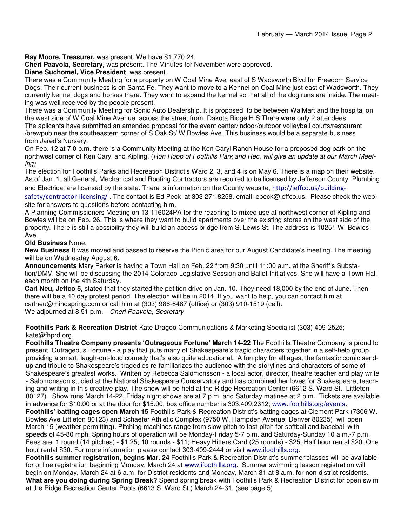**Ray Moore, Treasurer,** was present. We have \$1,770.24.

**Cheri Paavola, Secretary,** was present. The Minutes for November were approved.

#### **Diane Suchomel, Vice President**, was present.

There was a Community Meeting for a property on W Coal Mine Ave, east of S Wadsworth Blvd for Freedom Service Dogs. Their current business is on Santa Fe. They want to move to a Kennel on Coal Mine just east of Wadsworth. They currently kennel dogs and horses there. They want to expand the kennel so that all of the dog runs are inside. The meeting was well received by the people present.

There was a Community Meeting for Sonic Auto Dealership. It is proposed to be between WalMart and the hospital on the west side of W Coal Mine Avenue across the street from Dakota Ridge H.S There were only 2 attendees. The aplicants have submitted an amended proposal for the event center/indoor/outdoor volleyball courts/restaurant /brewpub near the southeastern corner of S Oak St/ W Bowles Ave. This business would be a separate business from Jared's Nursery.

On Feb. 12 at 7:0 p.m. there is a Community Meeting at the Ken Caryl Ranch House for a proposed dog park on the northwest corner of Ken Caryl and Kipling. (Ron Hopp of Foothills Park and Rec. will give an update at our March Meeting)

The election for Foothills Parks and Recreation District's Ward 2, 3, and 4 is on May 6. There is a map on their website. As of Jan. 1, all General, Mechanical and Roofing Contractors are required to be licensed by Jefferson County. Plumbing and Electrical are licensed by the state. There is information on the County website, http://jeffco.us/building-

safety/contractor-licensing/. The contact is Ed Peck at 303 271 8258. email: epeck@jeffco.us. Please check the website for answers to questions before contacting him.

A Planning Commissioners Meeting on 13-116024PA for the rezoning to mixed use at northwest corner of Kipling and Bowles will be on Feb. 26. This is where they want to build apartments over the existing stores on the west side of the property. There is still a possibility they will build an access bridge from S. Lewis St. The address is 10251 W. Bowles Ave.

#### **Old Business** None.

**New Business** It was moved and passed to reserve the Picnic area for our August Candidate's meeting. The meeting will be on Wednesday August 6.

**Announcements** Mary Parker is having a Town Hall on Feb. 22 from 9:30 until 11:00 a.m. at the Sheriff's Substation/DMV. She will be discussing the 2014 Colorado Legislative Session and Ballot Initiatives. She will have a Town Hall each month on the 4th Saturday.

**Carl Neu, Jeffco 5,** stated that they started the petition drive on Jan. 10. They need 18,000 by the end of June. Then there will be a 40 day protest period. The election will be in 2014. If you want to help, you can contact him at carlneu@mindspring.com or call him at (303) 986-8487 (office) or (303) 910-1519 (cell). We adjourned at 8:51 p.m. - Cheri Paavola, Secretary

**Foothills Park & Recreation District** Kate Dragoo Communications & Marketing Specialist (303) 409-2525; kate@fhprd.org

**Foothills Theatre Company presents 'Outrageous Fortune' March 14-22** The Foothills Theatre Company is proud to present, Outrageous Fortune - a play that puts many of Shakespeare's tragic characters together in a self-help group providing a smart, laugh-out-loud comedy that's also quite educational. A fun play for all ages, the fantastic comic sendup and tribute to Shakespeare's tragedies re-familiarizes the audience with the storylines and characters of some of Shakespeare's greatest works. Written by Rebecca Salomonsson - a local actor, director, theatre teacher and play write - Salomonsson studied at the National Shakespeare Conservatory and has combined her loves for Shakespeare, teaching and writing in this creative play. The show will be held at the Ridge Recreation Center (6612 S. Ward St., Littleton 80127). Show runs March 14-22, Friday night shows are at 7 p.m. and Saturday matinee at 2 p.m. Tickets are available in advance for \$10.00 or at the door for \$15.00; box office number is 303.409.2312; www.ifoothills.org/events. **Foothills' batting cages open March 15** Foothills Park & Recreation District's batting cages at Clement Park (7306 W. Bowles Ave Littleton 80123) and Schaefer Athletic Complex (9750 W. Hampden Avenue, Denver 80235) will open March 15 (weather permitting). Pitching machines range from slow-pitch to fast-pitch for softball and baseball with speeds of 45-80 mph. Spring hours of operation will be Monday-Friday 5-7 p.m. and Saturday-Sunday 10 a.m.-7 p.m.

Fees are: 1 round (14 pitches) - \$1.25; 10 rounds - \$11; Heavy Hitters Card (25 rounds) - \$25; Half hour rental \$20; One hour rental \$30. For more information please contact 303-409-2444 or visit www.ifoothills.org.

**Foothills summer registration, begins Mar. 24** Foothills Park & Recreation District's summer classes will be available for online registration beginning Monday, March 24 at www.ifoothills.org. Summer swimming lesson registration will begin on Monday, March 24 at 6 a.m. for District residents and Monday, March 31 at 8 a.m. for non-district residents. **What are you doing during Spring Break?** Spend spring break with Foothills Park & Recreation District for open swim at the Ridge Recreation Center Pools (6613 S. Ward St.) March 24-31. (see page 5)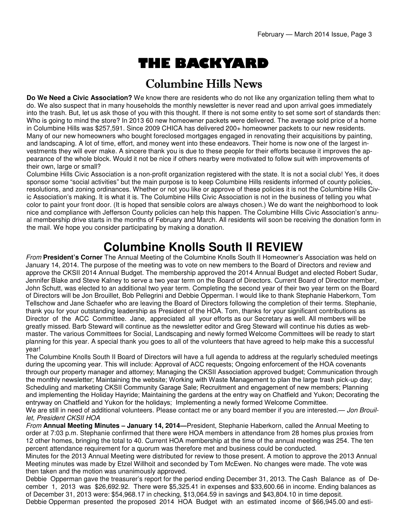# THE BACKYARD

### Columbine Hills News

**Do We Need a Civic Association?** We know there are residents who do not like any organization telling them what to do. We also suspect that in many households the monthly newsletter is never read and upon arrival goes immediately into the trash. But, let us ask those of you with this thought. If there is not some entity to set some sort of standards then: Who is going to mind the store? In 2013 60 new homeowner packets were delivered. The average sold price of a home in Columbine Hills was \$257,591. Since 2009 CHICA has delivered 200+ homeowner packets to our new residents. Many of our new homeowners who bought foreclosed mortgages engaged in renovating their acquisitions by painting, and landscaping. A lot of time, effort, and money went into these endeavors. Their home is now one of the largest investments they will ever make. A sincere thank you is due to these people for their efforts because it improves the appearance of the whole block. Would it not be nice if others nearby were motivated to follow suit with improvements of their own, large or small?

Columbine Hills Civic Association is a non-profit organization registered with the state. It is not a social club! Yes, it does sponsor some "social activities" but the main purpose is to keep Columbine Hills residents informed of county policies, resolutions, and zoning ordinances. Whether or not you like or approve of these policies it is not the Columbine Hills Civic Association's making. It is what it is. The Columbine Hills Civic Association is not in the business of telling you what color to paint your front door. (It is hoped that sensible colors are always chosen.) We do want the neighborhood to look nice and compliance with Jefferson County policies can help this happen. The Columbine Hills Civic Association's annual membership drive starts in the months of February and March. All residents will soon be receiving the donation form in the mail. We hope you consider participating by making a donation.

### **Columbine Knolls South II REVIEW**

From **President's Corner** The Annual Meeting of the Columbine Knolls South II Homeowner's Association was held on January 14, 2014. The purpose of the meeting was to vote on new members to the Board of Directors and review and approve the CKSII 2014 Annual Budget. The membership approved the 2014 Annual Budget and elected Robert Sudar, Jennifer Blake and Steve Kalney to serve a two year term on the Board of Directors. Current Board of Director member, John Schutt, was elected to an additional two year term. Completing the second year of their two year term on the Board of Directors will be Jon Brouillet, Bob Pellegrini and Debbie Opperman. I would like to thank Stephanie Haberkorn, Tom Tellschow and Jane Schaefer who are leaving the Board of Directors following the completion of their terms. Stephanie, thank you for your outstanding leadership as President of the HOA. Tom, thanks for your significant contributions as Director of the ACC Committee. Jane, appreciated all your efforts as our Secretary as well. All members will be greatly missed. Barb Steward will continue as the newsletter editor and Greg Steward will continue his duties as webmaster. The various Committees for Social, Landscaping and newly formed Welcome Committees will be ready to start planning for this year. A special thank you goes to all of the volunteers that have agreed to help make this a successful year!

The Columbine Knolls South II Board of Directors will have a full agenda to address at the regularly scheduled meetings during the upcoming year. This will include: Approval of ACC requests; Ongoing enforcement of the HOA covenants through our property manager and attorney; Managing the CKSII Association approved budget; Communication through the monthly newsletter; Maintaining the website; Working with Waste Management to plan the large trash pick-up day; Scheduling and marketing CKSII Community Garage Sale; Recruitment and engagement of new members; Planning and implementing the Holiday Hayride; Maintaining the gardens at the entry way on Chatfield and Yukon; Decorating the entryway on Chatfield and Yukon for the holidays; Implementing a newly formed Welcome Committee. We are still in need of additional volunteers. Please contact me or any board member if you are interested.— Jon Brouil-

#### let, President CKSII HOA

From **Annual Meeting Minutes – January 14, 2014—**President, Stephanie Haberkorn, called the Annual Meeting to order at 7:03 p.m. Stephanie confirmed that there were HOA members in attendance from 28 homes plus proxies from 12 other homes, bringing the total to 40. Current HOA membership at the time of the annual meeting was 254. The ten percent attendance requirement for a quorum was therefore met and business could be conducted.

Minutes for the 2013 Annual Meeting were distributed for review to those present. A motion to approve the 2013 Annual Meeting minutes was made by Etzel Willhoit and seconded by Tom McEwen. No changes were made. The vote was then taken and the motion was unanimously approved.

Debbie Opperman gave the treasurer's report for the period ending December 31, 2013. The Cash Balance as of December 1, 2013 was \$26,692.92. There were \$5,325.41 in expenses and \$33,600.66 in income. Ending balances as of December 31, 2013 were: \$54,968.17 in checking, \$13,064.59 in savings and \$43,804.10 in time deposit. Debbie Opperman presented the proposed 2014 HOA Budget with an estimated income of \$66,945.00 and esti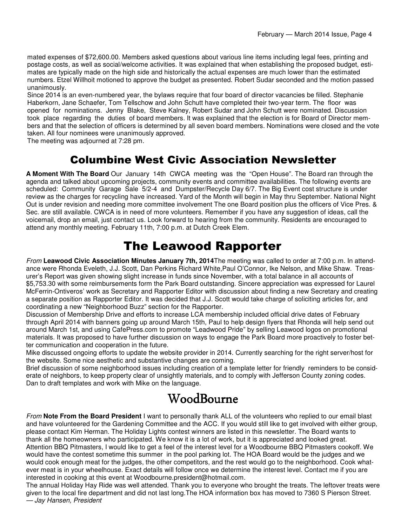mated expenses of \$72,600.00. Members asked questions about various line items including legal fees, printing and postage costs, as well as social/welcome activities. It was explained that when establishing the proposed budget, estimates are typically made on the high side and historically the actual expenses are much lower than the estimated numbers. Etzel Willhoit motioned to approve the budget as presented. Robert Sudar seconded and the motion passed unanimously.

Since 2014 is an even-numbered year, the bylaws require that four board of director vacancies be filled. Stephanie Haberkorn, Jane Schaefer, Tom Tellschow and John Schutt have completed their two-year term. The floor was opened for nominations. Jenny Blake, Steve Kalney, Robert Sudar and John Schutt were nominated. Discussion took place regarding the duties of board members. It was explained that the election is for Board of Director members and that the selection of officers is determined by all seven board members. Nominations were closed and the vote taken. All four nominees were unanimously approved.

The meeting was adjourned at 7:28 pm.

### Columbine West Civic Association Newsletter

**A Moment With The Board** Our January 14th CWCA meeting was the "Open House". The Board ran through the agenda and talked about upcoming projects, community events and committee availabilities. The following events are scheduled: Community Garage Sale 5/2-4 and Dumpster/Recycle Day 6/7. The Big Event cost structure is under review as the charges for recycling have increased. Yard of the Month will begin in May thru September. National Night Out is under revision and needing more committee involvement The one Board position plus the officers of Vice Pres. & Sec. are still available. CWCA is in need of more volunteers. Remember if you have any suggestion of ideas, call the voicemail, drop an email, just contact us. Look forward to hearing from the community. Residents are encouraged to attend any monthly meeting. February 11th, 7:00 p.m. at Dutch Creek Elem.

### The Leawood Rapporter

From **Leawood Civic Association Minutes January 7th, 2014**The meeting was called to order at 7:00 p.m. In attendance were Rhonda Eveleth, J.J. Scott, Dan Perkins Richard White,Paul O'Connor, Ike Nelson, and Mike Shaw. Treasurer's Report was given showing slight increase in funds since November, with a total balance in all accounts of \$5,753.30 with some reimbursements form the Park Board outstanding. Sincere appreciation was expressed for Laurel McFerrin-Ontiveros' work as Secretary and Rapporter Editor with discussion about finding a new Secretary and creating a separate position as Rapporter Editor. It was decided that J.J. Scott would take charge of soliciting articles for, and coordinating a new "Neighborhood Buzz" section for the Rapporter.

Discussion of Membership Drive and efforts to increase LCA membership included official drive dates of February through April 2014 with banners going up around March 15th, Paul to help design flyers that Rhonda will help send out around March 1st, and using CafePress.com to promote "Leadwood Pride" by selling Leawood logos on promotional materials. It was proposed to have further discussion on ways to engage the Park Board more proactively to foster better communication and cooperation in the future.

Mike discussed ongoing efforts to update the website provider in 2014. Currently searching for the right server/host for the website. Some nice aesthetic and substantive changes are coming.

Brief discussion of some neighborhood issues including creation of a template letter for friendly reminders to be considerate of neighbors, to keep property clear of unsightly materials, and to comply with Jefferson County zoning codes. Dan to draft templates and work with Mike on the language.

### WoodBourne

From **Note From the Board President** I want to personally thank ALL of the volunteers who replied to our email blast and have volunteered for the Gardening Committee and the ACC. If you would still like to get involved with either group, please contact Kim Herman. The Holiday Lights contest winners are listed in this newsletter. The Board wants to thank all the homeowners who participated. We know it is a lot of work, but it is appreciated and looked great. Attention BBQ Pitmasters, I would like to get a feel of the interest level for a Woodbourne BBQ Pitmasters cookoff. We would have the contest sometime this summer in the pool parking lot. The HOA Board would be the judges and we would cook enough meat for the judges, the other competitors, and the rest would go to the neighborhood. Cook whatever meat is in your wheelhouse. Exact details will follow once we determine the interest level. Contact me if you are interested in cooking at this event at Woodbourne.president@hotmail.com.

The annual Holiday Hay Ride was well attended. Thank you to everyone who brought the treats. The leftover treats were given to the local fire department and did not last long.The HOA information box has moved to 7360 S Pierson Street. — Jay Hansen, President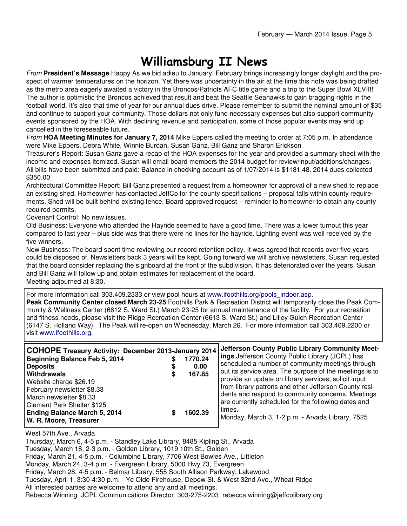## Williamsburg II News

From **President's Message** Happy As we bid adieu to January, February brings increasingly longer daylight and the prospect of warmer temperatures on the horizon. Yet there was uncertainty in the air at the time this note was being drafted as the metro area eagerly awaited a victory in the Broncos/Patriots AFC title game and a trip to the Super Bowl XLVIII! The author is optimistic the Broncos achieved that result and beat the Seattle Seahawks to gain bragging rights in the football world. It's also that time of year for our annual dues drive. Please remember to submit the nominal amount of \$35 and continue to support your community. Those dollars not only fund necessary expenses but also support community events sponsored by the HOA. With declining revenue and participation, some of those popular events may end up cancelled in the foreseeable future.

From **HOA Meeting Minutes for January 7, 2014** Mike Eppers called the meeting to order at 7:05 p.m. In attendance were Mike Eppers, Debra White, Winnie Burdan, Susan Ganz, Bill Ganz and Sharon Erickson

Treasurer's Report: Susan Ganz gave a recap of the HOA expenses for the year and provided a summary sheet with the income and expenses itemized. Susan will email board members the 2014 budget for review/input/additions/changes. All bills have been submitted and paid: Balance in checking account as of 1/07/2014 is \$1181.48. 2014 dues collected \$350.00

Architectural Committee Report: Bill Ganz presented a request from a homeowner for approval of a new shed to replace an existing shed. Homeowner has contacted JeffCo for the county specifications – proposal falls within county requirements. Shed will be built behind existing fence. Board approved request – reminder to homeowner to obtain any county required permits.

Covenant Control: No new issues.

Old Business: Everyone who attended the Hayride seemed to have a good time. There was a lower turnout this year compared to last year – plus side was that there were no lines for the hayride. Lighting event was well received by the five winners.

New Business: The board spent time reviewing our record retention policy. It was agreed that records over five years could be disposed of. Newsletters back 3 years will be kept. Going forward we will archive newsletters. Susan requested that the board consider replacing the signboard at the front of the subdivision. It has deteriorated over the years. Susan and Bill Ganz will follow up and obtain estimates for replacement of the board. Meeting adjourned at 8:30.

For more information call 303.409.2333 or view pool hours at www.ifoothills.org/pools\_indoor.asp.

**Peak Community Center closed March 23-25** Foothills Park & Recreation District will temporarily close the Peak Community & Wellness Center (6612 S. Ward St.) March 23-25 for annual maintenance of the facility. For your recreation and fitness needs, please visit the Ridge Recreation Center (6613 S. Ward St.) and Lilley Gulch Recreation Center (6147 S. Holland Way). The Peak will re-open on Wednesday, March 26. For more information call 303.409.2200 or visit www.ifoothills.org.

| <b>COHOPE Treasury Activity: December 2013-January 2014</b><br>Beginning Balance Feb 5, 2014<br><b>Deposits</b><br>Withdrawals<br>Website charge \$26.19<br>February newsletter \$8.33<br>March newsletter \$8.33<br>Clement Park Shelter \$125<br><b>Ending Balance March 5, 2014</b> | 1770.24<br>0.00<br>167.85<br>1602.39 | Jefferson County Public Library Community Meet-<br><b>ings</b> Jefferson County Public Library (JCPL) has<br>scheduled a number of community meetings through-<br>out its service area. The purpose of the meetings is to<br>provide an update on library services, solicit input<br>from library patrons and other Jefferson County resi-<br>dents and respond to community concerns. Meetings<br>are currently scheduled for the following dates and<br>times. |
|----------------------------------------------------------------------------------------------------------------------------------------------------------------------------------------------------------------------------------------------------------------------------------------|--------------------------------------|------------------------------------------------------------------------------------------------------------------------------------------------------------------------------------------------------------------------------------------------------------------------------------------------------------------------------------------------------------------------------------------------------------------------------------------------------------------|
| W. R. Moore, Treasurer                                                                                                                                                                                                                                                                 |                                      | Monday, March 3, 1-2 p.m. - Arvada Library, 7525                                                                                                                                                                                                                                                                                                                                                                                                                 |

West 57th Ave., Arvada

Thursday, March 6, 4-5 p.m. - Standley Lake Library, 8485 Kipling St., Arvada Tuesday, March 18, 2-3 p.m. - Golden Library, 1019 10th St., Golden Friday, March 21, 4-5 p.m. - Columbine Library, 7706 West Bowles Ave., Littleton Monday, March 24, 3-4 p.m. - Evergreen Library, 5000 Hwy 73, Evergreen Friday, March 28, 4-5 p.m. - Belmar Library, 555 South Allison Parkway, Lakewood Tuesday, April 1, 3:30-4:30 p.m. - Ye Olde Firehouse, Depew St. & West 32nd Ave., Wheat Ridge All interested parties are welcome to attend any and all meetings. Rebecca Winning JCPL Communications Director 303-275-2203 rebecca.winning@jeffcolibrary.org